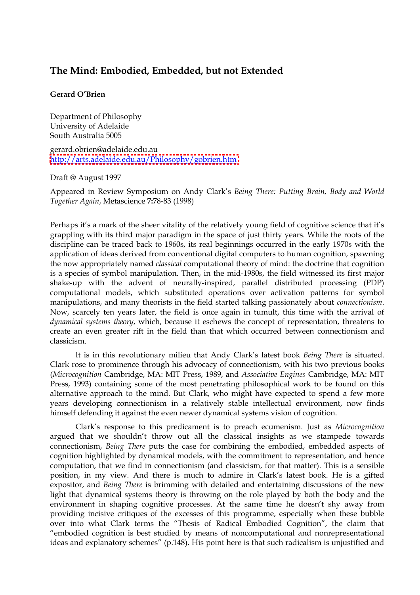## **The Mind: Embodied, Embedded, but not Extended**

## **Gerard O'Brien**

Department of Philosophy University of Adelaide South Australia 5005

gerard.obrien@adelaide.edu.au <http://arts.adelaide.edu.au/Philosophy/gobrien.htm>

Draft @ August 1997

Appeared in Review Symposium on Andy Clark's *Being There: Putting Brain, Body and World Together Again*, Metascience **7:**78-83 (1998)

Perhaps it's a mark of the sheer vitality of the relatively young field of cognitive science that it's grappling with its third major paradigm in the space of just thirty years. While the roots of the discipline can be traced back to 1960s, its real beginnings occurred in the early 1970s with the application of ideas derived from conventional digital computers to human cognition, spawning the now appropriately named *classical* computational theory of mind: the doctrine that cognition is a species of symbol manipulation. Then, in the mid-1980s, the field witnessed its first major shake-up with the advent of neurally-inspired, parallel distributed processing (PDP) computational models, which substituted operations over activation patterns for symbol manipulations, and many theorists in the field started talking passionately about *connectionism*. Now, scarcely ten years later, the field is once again in tumult, this time with the arrival of *dynamical systems theory*, which, because it eschews the concept of representation, threatens to create an even greater rift in the field than that which occurred between connectionism and classicism.

It is in this revolutionary milieu that Andy Clark's latest book *Being There* is situated. Clark rose to prominence through his advocacy of connectionism, with his two previous books (*Microcognition* Cambridge, MA: MIT Press, 1989, and *Associative Engines* Cambridge, MA: MIT Press, 1993) containing some of the most penetrating philosophical work to be found on this alternative approach to the mind. But Clark, who might have expected to spend a few more years developing connectionism in a relatively stable intellectual environment, now finds himself defending it against the even newer dynamical systems vision of cognition.

Clark's response to this predicament is to preach ecumenism. Just as *Microcognition* argued that we shouldn't throw out all the classical insights as we stampede towards connectionism, *Being There* puts the case for combining the embodied, embedded aspects of cognition highlighted by dynamical models, with the commitment to representation, and hence computation, that we find in connectionism (and classicism, for that matter). This is a sensible position, in my view. And there is much to admire in Clark's latest book. He is a gifted expositor, and *Being There* is brimming with detailed and entertaining discussions of the new light that dynamical systems theory is throwing on the role played by both the body and the environment in shaping cognitive processes. At the same time he doesn't shy away from providing incisive critiques of the excesses of this programme, especially when these bubble over into what Clark terms the "Thesis of Radical Embodied Cognition", the claim that "embodied cognition is best studied by means of noncomputational and nonrepresentational ideas and explanatory schemes" (p.148). His point here is that such radicalism is unjustified and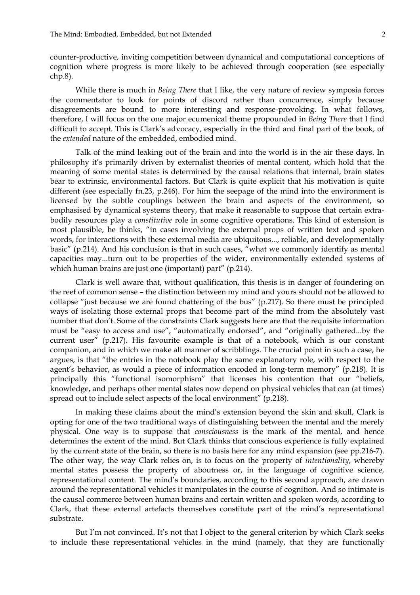counter-productive, inviting competition between dynamical and computational conceptions of cognition where progress is more likely to be achieved through cooperation (see especially chp.8).

While there is much in *Being There* that I like, the very nature of review symposia forces the commentator to look for points of discord rather than concurrence, simply because disagreements are bound to more interesting and response-provoking. In what follows, therefore, I will focus on the one major ecumenical theme propounded in *Being There* that I find difficult to accept. This is Clark's advocacy, especially in the third and final part of the book, of the *extended* nature of the embedded, embodied mind.

Talk of the mind leaking out of the brain and into the world is in the air these days. In philosophy it's primarily driven by externalist theories of mental content, which hold that the meaning of some mental states is determined by the causal relations that internal, brain states bear to extrinsic, environmental factors. But Clark is quite explicit that his motivation is quite different (see especially fn.23, p.246). For him the seepage of the mind into the environment is licensed by the subtle couplings between the brain and aspects of the environment, so emphasised by dynamical systems theory, that make it reasonable to suppose that certain extrabodily resources play a *constitutive* role in some cognitive operations. This kind of extension is most plausible, he thinks, "in cases involving the external props of written text and spoken words, for interactions with these external media are ubiquitous..., reliable, and developmentally basic" (p.214). And his conclusion is that in such cases, "what we commonly identify as mental capacities may...turn out to be properties of the wider, environmentally extended systems of which human brains are just one (important) part" (p.214).

Clark is well aware that, without qualification, this thesis is in danger of foundering on the reef of common sense – the distinction between my mind and yours should not be allowed to collapse "just because we are found chattering of the bus" (p.217). So there must be principled ways of isolating those external props that become part of the mind from the absolutely vast number that don't. Some of the constraints Clark suggests here are that the requisite information must be "easy to access and use", "automatically endorsed", and "originally gathered...by the current user" (p.217). His favourite example is that of a notebook, which is our constant companion, and in which we make all manner of scribblings. The crucial point in such a case, he argues, is that "the entries in the notebook play the same explanatory role, with respect to the agent's behavior, as would a piece of information encoded in long-term memory" (p.218). It is principally this "functional isomorphism" that licenses his contention that our "beliefs, knowledge, and perhaps other mental states now depend on physical vehicles that can (at times) spread out to include select aspects of the local environment" (p.218).

In making these claims about the mind's extension beyond the skin and skull, Clark is opting for one of the two traditional ways of distinguishing between the mental and the merely physical. One way is to suppose that *consciousness* is the mark of the mental, and hence determines the extent of the mind. But Clark thinks that conscious experience is fully explained by the current state of the brain, so there is no basis here for any mind expansion (see pp.216-7). The other way, the way Clark relies on, is to focus on the property of *intentionality*, whereby mental states possess the property of aboutness or, in the language of cognitive science, representational content. The mind's boundaries, according to this second approach, are drawn around the representational vehicles it manipulates in the course of cognition. And so intimate is the causal commerce between human brains and certain written and spoken words, according to Clark, that these external artefacts themselves constitute part of the mind's representational substrate.

But I'm not convinced. It's not that I object to the general criterion by which Clark seeks to include these representational vehicles in the mind (namely, that they are functionally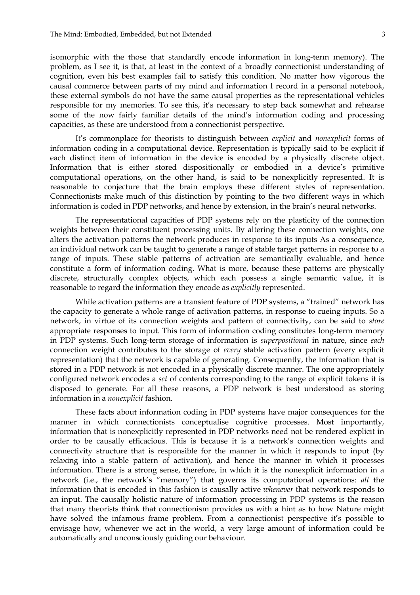isomorphic with the those that standardly encode information in long-term memory). The problem, as I see it, is that, at least in the context of a broadly connectionist understanding of cognition, even his best examples fail to satisfy this condition. No matter how vigorous the causal commerce between parts of my mind and information I record in a personal notebook, these external symbols do not have the same causal properties as the representational vehicles responsible for my memories. To see this, it's necessary to step back somewhat and rehearse some of the now fairly familiar details of the mind's information coding and processing capacities, as these are understood from a connectionist perspective.

It's commonplace for theorists to distinguish between *explicit* and *nonexplicit* forms of information coding in a computational device. Representation is typically said to be explicit if each distinct item of information in the device is encoded by a physically discrete object. Information that is either stored dispositionally or embodied in a device's primitive computational operations, on the other hand, is said to be nonexplicitly represented. It is reasonable to conjecture that the brain employs these different styles of representation. Connectionists make much of this distinction by pointing to the two different ways in which information is coded in PDP networks, and hence by extension, in the brain's neural networks.

The representational capacities of PDP systems rely on the plasticity of the connection weights between their constituent processing units. By altering these connection weights, one alters the activation patterns the network produces in response to its inputs As a consequence, an individual network can be taught to generate a range of stable target patterns in response to a range of inputs. These stable patterns of activation are semantically evaluable, and hence constitute a form of information coding. What is more, because these patterns are physically discrete, structurally complex objects, which each possess a single semantic value, it is reasonable to regard the information they encode as *explicitly* represented.

While activation patterns are a transient feature of PDP systems, a "trained" network has the capacity to generate a whole range of activation patterns, in response to cueing inputs. So a network, in virtue of its connection weights and pattern of connectivity, can be said to *store* appropriate responses to input. This form of information coding constitutes long-term memory in PDP systems. Such long-term storage of information is *superpositional* in nature, since *each* connection weight contributes to the storage of *every* stable activation pattern (every explicit representation) that the network is capable of generating. Consequently, the information that is stored in a PDP network is not encoded in a physically discrete manner. The one appropriately configured network encodes a *set* of contents corresponding to the range of explicit tokens it is disposed to generate. For all these reasons, a PDP network is best understood as storing information in a *nonexplicit* fashion.

These facts about information coding in PDP systems have major consequences for the manner in which connectionists conceptualise cognitive processes. Most importantly, information that is nonexplicitly represented in PDP networks need not be rendered explicit in order to be causally efficacious. This is because it is a network's connection weights and connectivity structure that is responsible for the manner in which it responds to input (by relaxing into a stable pattern of activation), and hence the manner in which it processes information. There is a strong sense, therefore, in which it is the nonexplicit information in a network (i.e., the network's "memory") that governs its computational operations: *all* the information that is encoded in this fashion is causally active *whenever* that network responds to an input. The causally holistic nature of information processing in PDP systems is the reason that many theorists think that connectionism provides us with a hint as to how Nature might have solved the infamous frame problem. From a connectionist perspective it's possible to envisage how, whenever we act in the world, a very large amount of information could be automatically and unconsciously guiding our behaviour.